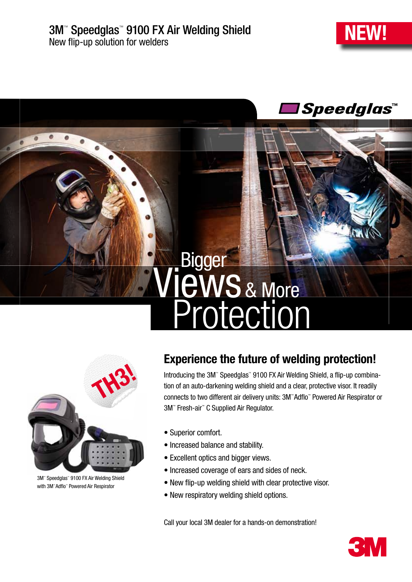



## & More Protection **Views** Bigger



3M™ Speedglas™ 9100 FX Air Welding Shield with 3M™Adflo™ Powered Air Respirator

## Experience the future of welding protection!

Introducing the 3M™ Speedglas™ 9100 FX Air Welding Shield, a flip-up combination of an auto-darkening welding shield and a clear, protective visor. It readily connects to two different air delivery units: 3M™ Adflo™ Powered Air Respirator or 3M™ Fresh-air™ C Supplied Air Regulator.

- Superior comfort.
- Increased balance and stability.
- Excellent optics and bigger views.
- Increased coverage of ears and sides of neck.
- New flip-up welding shield with clear protective visor.
- New respiratory welding shield options.

Call your local 3M dealer for a hands-on demonstration!